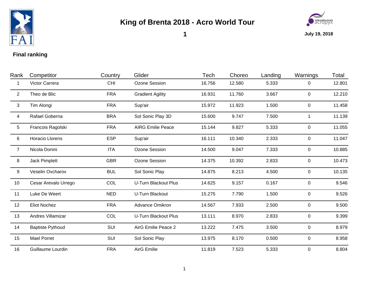

## **King of Brenta 2018 - Acro World Tour**



**1**

**July 19, 2018**

## **Final ranking**

| Rank            | Competitor              | Country    | Glider                      | Tech   | Choreo | Landing | Warnings       | Total  |
|-----------------|-------------------------|------------|-----------------------------|--------|--------|---------|----------------|--------|
|                 | Victor Carrera          | <b>CHI</b> | Ozone Session               | 16.756 | 12.580 | 5.333   | 0              | 12.801 |
| $\overline{2}$  | Theo de Blic            | <b>FRA</b> | <b>Gradient Agility</b>     | 16.931 | 11.760 | 3.667   | $\overline{0}$ | 12.210 |
| 3               | Tim Alongi              | <b>FRA</b> | Sup'air                     | 15.972 | 11.923 | 1.500   | $\mathbf{0}$   | 11.458 |
| 4               | Rafael Goberna          | <b>BRA</b> | Sol Sonic Play 3D           | 15.600 | 9.747  | 7.500   | $\mathbf{1}$   | 11.139 |
| $5\phantom{.0}$ | Francois Ragolski       | <b>FRA</b> | <b>AIRG Emilie Peace</b>    | 15.144 | 9.827  | 5.333   | 0              | 11.055 |
| 6               | <b>Horacio Llorens</b>  | <b>ESP</b> | Sup'air                     | 16.111 | 10.340 | 2.333   | $\overline{0}$ | 11.047 |
| $\overline{7}$  | Nicola Donini           | <b>ITA</b> | Ozone Session               | 14.500 | 9.047  | 7.333   | $\overline{0}$ | 10.885 |
| 8               | <b>Jack Pimplett</b>    | <b>GBR</b> | Ozone Session               | 14.375 | 10.392 | 2.833   | $\mathbf 0$    | 10.473 |
| 9               | Veselin Ovcharov        | <b>BUL</b> | Sol Sonic Play              | 14.875 | 8.213  | 4.500   | $\overline{0}$ | 10.135 |
| 10              | Cesar Arevalo Urrego    | COL        | <b>U-Turn Blackout Plus</b> | 14.625 | 9.157  | 0.167   | 0              | 9.546  |
| 11              | Luke De Weert           | <b>NED</b> | U-Turn Blackout             | 15.275 | 7.790  | 1.500   | 0              | 9.526  |
| 12              | <b>Eliot Nochez</b>     | <b>FRA</b> | Advance Omikron             | 14.567 | 7.933  | 2.500   | 0              | 9.500  |
| 13              | Andres Villamizar       | COL        | U-Turn Blackout Plus        | 13.111 | 8.970  | 2.833   | $\overline{0}$ | 9.399  |
| 14              | <b>Baptiste Pythoud</b> | SUI        | AirG Emilie Peace 2         | 13.222 | 7.475  | 3.500   | $\mathbf 0$    | 8.979  |
| 15              | Mael Porret             | SUI        | Sol Sonic Play              | 13.975 | 8.170  | 0.500   | $\overline{0}$ | 8.958  |
| 16              | Guillaume Lourdin       | <b>FRA</b> | <b>AirG Emilie</b>          | 11.819 | 7.523  | 5.333   | $\overline{0}$ | 8.804  |